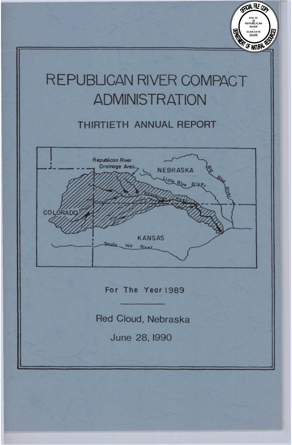# REPUBLICAN RIVER COMPACT **ADMINISTRATION**

**DOC ID: 30 REPUBLICAN RIVER SCAN DATE 2/21/06**

CFICIAL FILE COO

# **Thirtieth ANNUAL REPORT**

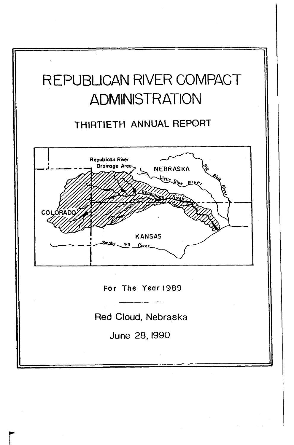

# THIRTIETH **ANNUAL** REPORT



Red Cloud, Nebraska

June 28, 1990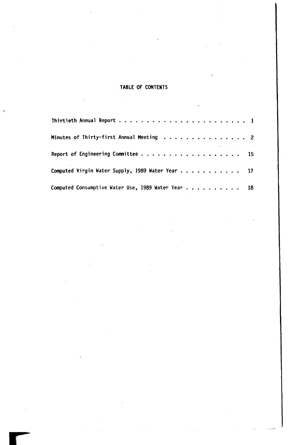## **TABLE OF CONTENTS**

| Minutes of Thirty-first Annual Meeting 2           |  |  |  |  |  |  |
|----------------------------------------------------|--|--|--|--|--|--|
|                                                    |  |  |  |  |  |  |
| Computed Virgin Water Supply, 1989 Water Year 17   |  |  |  |  |  |  |
| Computed Consumptive Water Use, 1989 Water Year 18 |  |  |  |  |  |  |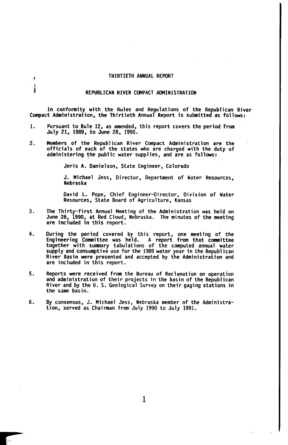#### THIRTIETH ANNUAL REPORT

ł

#### REPUBLICAN RIVER COMPACT ADMINISTRATION

In conformity with the Rules and Regulations of the Republican River Compact Administration, the Thirtieth Annual Report is submitted as follows:

- 1. Pursuant to Rule 12, as amended, this report covers the period from July 21, 1989, to June 28, 1990.
- 2. Members of the Republican River Compact Administration are the officials of each of the states who are charged with the duty of administering the public water supplies, and are as follows:

Jeris A. Danielson, State Engineer, Colorado

J. Michael Jess, Director, Department of Water Resources, Nebraska

David L. Pope, Chief Engineer-Director, Division of Water Resources, State Board of Agriculture, Kansas

- The Thirty-first Annual Meeting of the Administration was held on<br>June 28, 1990, at Red Cloud, Nebraska. The minutes of the meeting<br>are included in this report. **3.**
- 4. During the period covered by this report, one meeting of the Engineering Committee was held. A report from that Committee together with summary tabulations of the computed annual water supply and consumptive use for the 1989 water year in the Republican River Basin were presented and accepted by the Administration and are included in this report.
- Reports were received from the Bureau of Reclamation on operation and administration of their projects in the basin of the Republican River and by the **U.** *S.* Geological Survey on their gaging stations in the same basin. **5.**
- 6. By consensus, J. Michael Jess, Nebraska member of the Administration, served as Chairman from July 1990 to July 1991.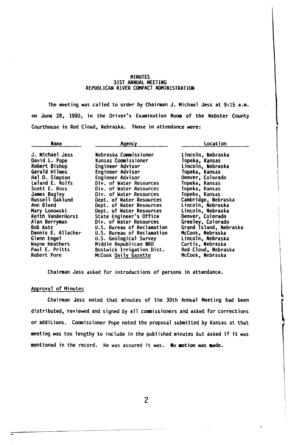#### MINUTES 31st ANNUAL MEETING REPUBLICAN RIVER COMPACT ADMINISTRATION

The meeting was called to order by Chairman **J.** Michael Jess at 9:15 a.m. on June 28, 1990, in the Driver's Examination **Room** of the Webster County Courthouse in Red Cloud, Nebraska. Those in attendance were:

| Name               | Agency                     | Location               |  |  |  |  |  |  |
|--------------------|----------------------------|------------------------|--|--|--|--|--|--|
| J. Michael Jess    | Nebraska Commissioner      | Lincoln, Nebraska      |  |  |  |  |  |  |
| David L. Pope      | Kansas Commissioner        | Topeka, Kansas         |  |  |  |  |  |  |
| Robert Bishop      | Engineer Advisor           | Lincoln, Nebraska      |  |  |  |  |  |  |
| Gerald Hilmes      | Engineer Advisor           | Topeka, Kansas         |  |  |  |  |  |  |
| Hal D. Simpson     | Engineer Advisor           | Denver, Colorado       |  |  |  |  |  |  |
| Leland E. Rolfs    | Div. of Water Resources    | Topeka. Kansas         |  |  |  |  |  |  |
| Scott E. Ross      | Div. of Water Resources    | Topeka, Kansas         |  |  |  |  |  |  |
| James Bagley       | Div. of Water Resources    | Topeka, Kansas         |  |  |  |  |  |  |
| Russell Oaklund    | Dept. of Water Resources   | Cambridge, Nebraska    |  |  |  |  |  |  |
| Ann Bleed          | Dept. of Water Resources   | Lincoln, Nebraska      |  |  |  |  |  |  |
| Mary Lonowski      | Dept. of Water Resources   | Lincoln, Nebraska      |  |  |  |  |  |  |
| Keith VanderHorst  | State Engineer's Office    | Denver, Colorado       |  |  |  |  |  |  |
| Alan Berryman      | Div. of Water Resources    | Greeley, Colorado      |  |  |  |  |  |  |
| Bob Kutz           | U.S. Bureau of Reclamation | Grand Island, Nebraska |  |  |  |  |  |  |
| Dennis E. Allacher | U.S. Bureau of Reclamation | McCook, Nebraska       |  |  |  |  |  |  |
| Glenn Engel        | U.S. Geological Survey     | Lincoln, Nebraska      |  |  |  |  |  |  |
| Wayne Heathers     | Middle Republican NRD      | Curtis, Nebraska       |  |  |  |  |  |  |
| Paul E. Pritts     | Bostwick Irrigation Dist.  | Red Cloud, Nebraska    |  |  |  |  |  |  |
| Robert Pore        | McCook Daily Gazette       | McCook, Nebraska       |  |  |  |  |  |  |

Chairman Jess asked for introductions of persons in attendance.

### Approval of Minutes

Chairman Jess noted that minutes of the 30th Annual Meeting had been distributed, reviewed and signed by all Commissioners and asked for corrections or additions. Commissioner Pope noted the proposal submitted by Kansas at that meeting was too lengthy to include in the published minutes but asked if it was mentioned in the record. He was assured it was. No motion was made.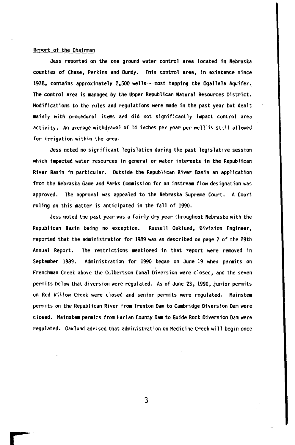### Report of the Chairman

Jess reported on the one ground water control area located in Nebraska counties of Chase, Perkins and Dundy. This control area, in existence since 1978, contains approximately 2,500 wells---most tapping the Ogallala Aquifer. The control area is managed by the Upper Republican Natural Resources District. Modifications to the rules and regulations were made in the past year but dealt mainly with procedural items and did not significantly impact control area activity. An average withdrawal of 14 inches per year per well is still allowed for irrigation within the area.

Jess noted no significant legislation during the past legislative session which impacted water resources in general **or** water interests in the Republican River Basin in particular. Outside the Republican River Basin an application from the Nebraska Game and Parks Commission **for** an instream flow designation was approved. The approval was appealed to the Nebraska Supreme Court. A Court ruling on this matter is anticipated in the fall of 1990.

Jess noted the past year was a fairly dry year throughout Nebraska with the Republican Basin being no exception. Russell Oaklund, Division Engineer, reported that the administration for 1989 was as described on page 7 of the 29th Annual Report. The restrictions mentioned in that report were removed in September 1989. Administration for 1990 began on June 19 when permits on Frenchman Creek above the Culbertson Canal Diversion were closed, and the seven permits below that diversion were regulated. As of June **23,** 1990, junior permits on Red Willow Creek were closed and senior permits were regulated. Mainstem permits on the Republican River **from** Trenton **Dam** to Cambridge Diversion Dam were closed. Mainstem permits from Harlan County Dam to Guide Rock Diversion Dam were regulated. Oaklund advised that administration on Medicine Creek will begin once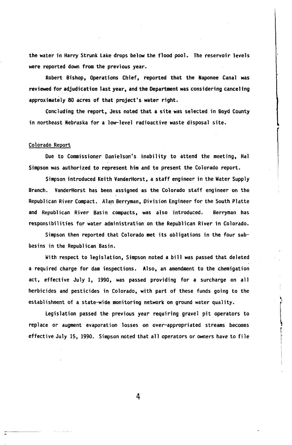the water in Harry Strunk Lake drops below the flood pool. The reservoir levels were reported down from the previous year.

Robert Bishop, Operations Chief, reported that the Naponee Canal was reviewed for adjudication last year, and the Department was considering canceling approximately *80* acres of that project's water right.

Concluding the report, Jess noted that a site was selected in Boyd County in northeast Nebraska for a low-level radioactive waste disposal site.

#### Colorado Report

Due to Commissioner Danielson's inability to attend the meeting, Hal Simpson was authorized to represent him and to present the Colorado report.

Simpson introduced Keith VanderHorst. a staff engineer in the Water Supply Branch. VanderHorst has been assigned as the Colorado staff engineer on the Republican River Compact. Alan Berryman, Division Engineer **for** the South Platte and Republican River Basin compacts, was also introduced. Berryman has responsibilities for water administration on the Republican River in Colorado.

Simpson then reported that Colorado met its obligations in the four subbasins in the Republican Basin.

With respect to legislation, Simpson noted a bill was passed that deleted a required charge for dam inspections. Also, an amendment to the chemigation act, effective July 1, 1990, was passed providing for a surcharge on all herbicides and pesticides in Colorado, with part of these funds going to the establishment of a state-wide monitoring network on ground water quality.

Legislation passed the previous year requiring gravel pit operators to replace or augment evaporation losses on over-appropriated streams becomes effective July 15, 1990. Simpson noted that all operators **or** owners have to file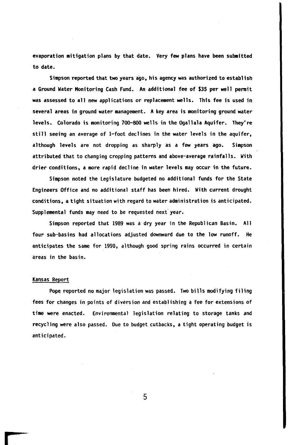evaporation mitigation plans by that date. Very few plans have been submitted to date.

Simpson reported that two years ago, his agency was authorized to establish a Ground Water Monitoring Cash Fund. An additional fee of \$35 per well permit was assessed to all new applications **or** replacement **wells.** This fee is used in several areas in ground water management. A key area is monitoring ground water levels. Colorado is monitoring 700-800 **wells** in the Ogallala Aquifer. They're still seeing an average of 1-foot declines in the water levels in the aquifer, although levels are not dropping as sharply as a few years ago. Simpson attributed that to changing cropping patterns and above-average rainfalls. With drier conditions, a more rapid decline in water levels may occur in the future.

Simpson noted the Legislature budgeted **no** additional funds for the State Engineers Office and no additional staff has been hired. With current drought conditions, a tight situation with regard to water administration is anticipated. Supplemental funds may need to be requested next year.

Simpson reported that 1989 was a dry year in the Republican Basin. **All**  four sub-basins had allocations adjusted downward due to the low runoff. He anticipates the same for 1990, although good spring rains occurred in certain areas in the basin.

#### Kansas Report

Pope reported no major legislation was passed. Two bills modifying filing fees for changes in points of diversion and establishing a fee for extensions of time were enacted. Environmental legislation relating to storage tanks and recycling were also passed. Due to budget cutbacks, a tight operating budget is anticipated.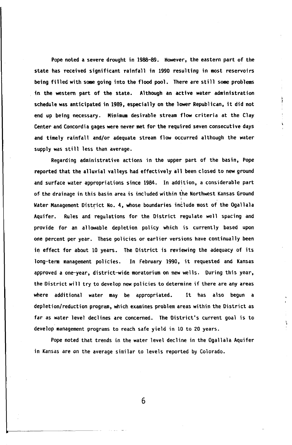Pope noted a severe drought in 1988-89. However, the eastern part of the state has received significant rainfall in 1990 resulting in most reservoirs being filled with **some** going into the flood pool. There are still **some** problems in the western part of the state. Although an active water administration schedule was anticipated in 1989, especially on the lower Republican, it did not end up being necessary. Minimum desirable stream flow criteria at the Clay Center and Concordia gages were never met for the required seven consecutive days and timely rainfall and/or adequate stream flow occurred although the water supply was still less than average.

Regarding administrative actions in the upper part of the basin, Pope reported that the alluvial valleys had effectively all been closed to new ground and surface water appropriations since 1984. In addition, a considerable part of the drainage in this basin area is included within the Northwest Kansas Ground Water Management District No. 4, whose boundaries include most of the Ogallala Aquifer. Rules and regulations for the District regulate well spacing and provide for an allowable depletion policy which is currently based upon one percent per year. These policies **or** earlier versions have continually been in effect for about 10 years. The District is reviewing the adequacy of its long-term management policies. In February 1990, it requested and Kansas approved a one-year, district-wide moratorium on new wells. During this year, the District will try to develop new policies to determine if there are any areas where additional water may be appropriated. It has also begun a depletion/reduction program, which examines problem areas within the District as far as water level declines are concerned. The District's current goal is to develop management programs to reach safe yield in 10 to 20 years.

Pope noted that trends in the water level decline in the Ogallala Aquifer in Kansas are on the average similar to levels reported by Colorado.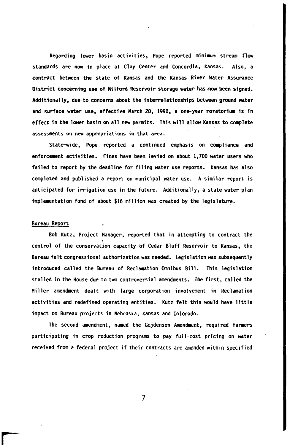Regarding **lower** basin activities, Pope reported minimum stream flow standards are now in place at Clay Center and Concordia, Kansas. Also, a contract between the state of Kansas and the Kansas River Water Assurance District concerning use of Milford Reservoir storage water has **now** been signed. Additionally, due to concerns about the interrelationships between ground water and surface water use, effective March 20, 1990, a one-year moratorium is in effect in the lower basin on all new permits. This will allow Kansas to complete assessments on new appropriations in that area.

State-wide, Pope reported a continued emphasis on compliance and enforcement activities. Fines have been levied on about 1,700 water users who failed to report by the deadline for filing water use reports. Kansas has also completed and published a report on municipal water use. A similar report is anticipated **for** irrigation use in the future. Additionally, a state water plan implementation fund of about \$16 million was created by the legislature.

#### Bureau Report

Bob Kutz, Project Manager, reported that in attempting to contract the control of the conservation capacity of Cedar Bluff Reservoir to Kansas, the Bureau felt congressional authorization was needed. Legislation was subsequently introduced called the Bureau of Reclamation Omnibus Bill. This legislation stalled in the House due to two controversial amendments. The first, called the Miller amendment dealt with large corporation involvement in Reclamation activities and redefined operating entities. Kutz felt this would have little impact on Bureau projects in Nebraska, Kansas and Colorado.

The second amendment, named the Gejdenson Amendment, required farmers participating in crop reduction programs to pay full-cost pricing on water received from a federal project if their contracts are amended within specified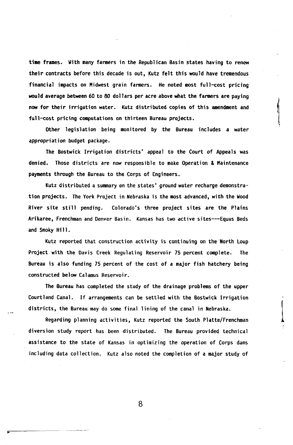time frames. With many fanners in the Republican Basin states having to renew their contracts before this decade is out, Kutz felt this would have tremendous financial impacts on Midwest grain fanners. He noted most full-cost pricing **would** average between 60 to *80* dollars per acre above what the farmers are paying now for their irrigation water. Kutz distributed copies of this amendment and full-cast pricing computations on thirteen Bureau projects.

Other legislation being monitored by the Bureau includes a water appropriation budget package.

The Bostwick Irrigation districts' appeal to the Court of Appeals was denied. Those districts are now responsible to make Operation & Maintenance payments through the Bureau to the Corps of Engineers.

Kutz distributed a summary on the states' ground water recharge demonstration projects. The York Project in Nebraska is the most advanced, with the Wood River site still pending. Colorado's three project sites are the Plains Arikaree, Frenchman and Denver Basin. Kansas has two active sites--Equus Beds and Smoky Hill.

Kutz reported that construction activity is continuing on the North Loup Project with the Davis Creek Regulating Reservoir 75 percent complete. The Bureau is also funding 75 percent of the cost of a major fish hatchery being constructed below Calamus Reservoir.

The Bureau has completed the study of the drainage problems of the upper Courtland Canal. **If** arrangements can be settled with the Bostwick Irrigation districts, the Bureau may do **some** final lining of the canal in Nebraska.

Regarding planning activities, Kutz reported the South Platte/Frenchman diversion study report has been distributed. The Bureau provided technical assistance to the state of Kansas in optimizing the operation of Corps dams including data collection. Kutz also noted the completion of a **major** study of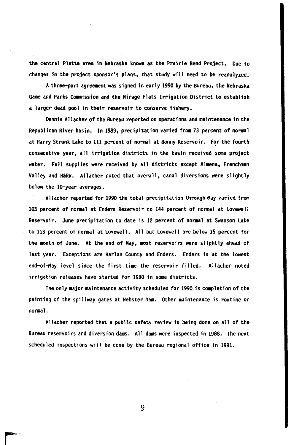the central Platte area in Nebraska known as the Prairie Bend Project. Due to changes in the project sponsor's plans, that study will need to be reanalyzed.

A three-part agreement was signed in early 1990 by the Bureau, the Nebraska **Game** and Parks Commission and the Mirage Flats Irrigation District to establish a larger dead pool in their reservoir to conserve fishery.

Dennis Allacher of the Bureau reported on operations and maintenance in the Republican River basin. In 1989, precipitation varied from 73 percent of normal at Harry Strunk Lake to 111 percent of normal at Bonny Reservoir. For the fourth consecutive year, all irrigation districts in the basin received **some** project water. Full supplies were received by all districts except Almena, Frenchman Valley and H&RW. Allacher noted that overall, canal diversions were slightly below the 10-year averages.

Allacher reported for 1990 the total precipitation through May varied from 103 percent of normal at Enders Reservoir to 144 percent of normal at Lovewell Reservoir. June precipitation to date is 12 percent of normal at Swanson Lake to 113 percent of normal at Lovewell. All but Lovewell are below 15 percent for the month of June. At the end of May, most reservoirs were slightly ahead of last year. Exceptions are Harlan County and Enders. Enders is at the lowest end-of-May level since the first time the reservoir filled. Allacher noted irrigation releases have started for 1990 in **some** districts.

The only major maintenance activity scheduled for 1990 is completion of the painting of the spillway gates at Webster Dam. Other maintenance is routine **or**  normal.

Allacher reported that a public safety review is being done on all of the Bureau reservoirs and diversion dams. All dams were inspected in 1988. The next scheduled inspections will be done by the Bureau regional office in 1991.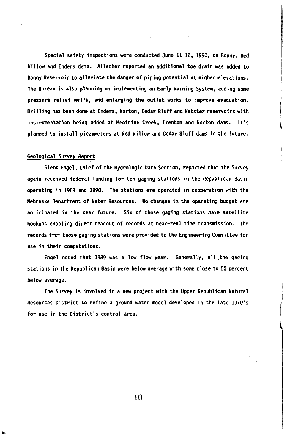**Special safety inspections were conducted June 11-12. 1990, on Bonny, Red Willow and Enders dams. Allacher reported an additional toe drain was added to Bonny Reservoir to alleviate the danger of piping potential at higher elevations. The Bureau is also planning on implementing an Early Warning System, adding some pressure relief wells, and enlarging the outlet works to improve evacuation, Drilling has been done at Enders, Norton, Cedar Bluff and Webster reservoirs with instrumentation being added at Medicine Creek, Trenton and Norton dams. It's planned to install piezometers at Red Willow and Cedar Bluff dams in the future.** 

### **Geological Survey Report**

**Glenn Engel, Chief of the Hydrologic Data Section, reported that the Survey again received federal funding for ten gaging stations in the Republican Basin operating in 1989 and 1990. The stations are operated in cooperation with the Nebraska Department of Water Resources. No changes in the operating budget are anticipated in the near future. Six of those gaging stations have satellite hookups enabling direct readout of records at near-real time transmission. The records from those gaging stations were provided to the Engineering Committee for use in their computations.** 

**Engel noted that 1989 was a low flow year. Generally, all the gaging stations in the Republican Basin were below average with some close to 50 percent below average.** 

**The Survey is involved in a new project with the Upper Republican Natural Resources District to refine a ground water model developed in the late 1970's for use in the District's control area.**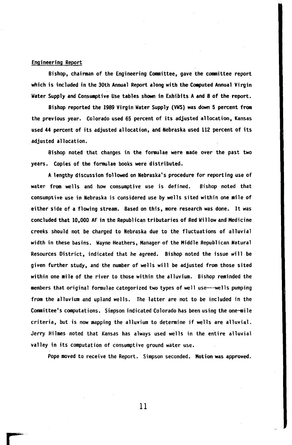### <span id="page-13-0"></span>Engineering Report

Bishop, chairman of the Engineering Committee gave the Committee report which is included in the 30th Annual Report along with the Computed Annual Virgin Water Supply and Consumptive Use tables shown in Exhibits A and B of the report.

Bishop reported the 1989 Virgin Water Supply (VWS) was down 5 percent from the previous year. Colorado used 65 percent of its adjusted allocation, Kansas used 44 percent of its adjusted allocation, and Nebraska used 112 percent of its adjusted allocation.

Bishop noted that changes in the formulae were made over the past two years. Copies of the formulae books were distributed.

A lengthy discussion followed on Nebraska's procedure **for** reporting use of water from wells and how consumptive use is defined. Bishop noted that consumptive use in Nebraska is considered use by wells sited within one mile of either side of a flowing stream. Based on this, more research was done. It was concluded that 10,000 AF in the Republican tributaries of Red Willow and Medicine creeks should not be charged to Nebraska due to the fluctuations of alluvial width in these basins. Wayne Heathers, Manager of the Middle Republican Natural Resources District, indicated that he agreed. Bishop noted the issue will be given further study, and the number of wells will be adjusted from those sited within one mile of the river to those within the alluvium. Bishop reminded the members that original formulae categorized two types of well use---wells pumping from the alluvium and upland wells. The latter are not to be included in the Committee's computations. Simpson indicated Colorado has been using the one-mile criteria, but is now mapping the alluvium to determine if wells are alluvial. Jerry Hilmes noted that Kansas has always used wells in the entire alluvial valley in its computation of consumptive ground water use.

Pope moved to receive the Report. Simpson seconded. Motion was approved.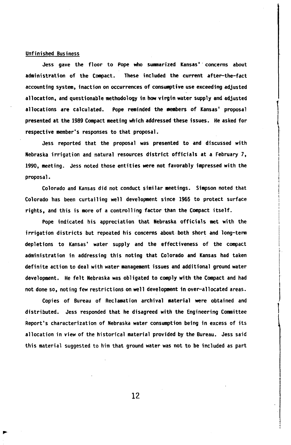#### Unfinished Business

Jess gave the floor to Pope who summarized Kansas' concerns about administration of the Compact. These included the current after-the-fact accounting system, inaction on occurrences of consumptive use exceeding adjusted allocation, and questionable methodology in how virgin water supply and adjusted allocations are calculated. Pope reminded the members of Kansas' proposal presented at the 1989 Compact meeting which addressed these issues. He asked for respective member's responses to that proposal.

Jess reported that the proposal was presented to and discussed with Nebraska irrigation and natural resources district officials at a February 7, 1990, meeting. Jess noted those entities were not favorably impressed with the proposal.

Colorado and Kansas did not conduct similar meetings. Simpson noted that Colorado has been curtailing well development since 1965 to protect surface rights, and this is more of a controlling factor than the Compact itself.

Pope indicated his appreciation that Nebraska officials met with the irrigation districts but repeated his concerns about both short and long-term depletions to Kansas' water supply and the effectiveness of the compact administration in addressing this noting that Colorado and Kansas had taken definite action to deal with water management issues and additional ground water development. He felt Nebraska was obligated to comply with the Compact and had not done so, noting few restrictions on well development in over-allocated areas.

Copies of Bureau of Reclamation archival material were obtained and distributed. Jess responded that he disagreed with the Engineering Committee Report's characterization of Nebraska water consumption being in excess of its allocation in view of the historical material provided by the Bureau. Jess said this material suggested to him that ground water was not to be included as part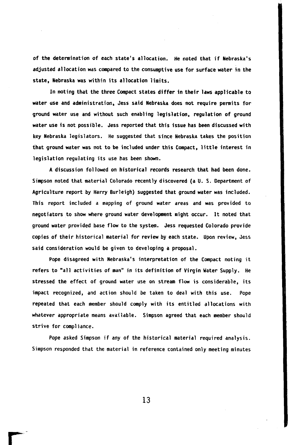of the determination of each state's allocation. He noted that if Nebraska's adjusted allocation was compared to the consumptive use for surface water in the state, Nebraska was within its allocation limits,

In noting that the three Compact states differ in their laws applicable to water use and administration, Jess said Nebraska does not require permits for ground water use and without such enabling legislation, regulation of ground water use is not possible. Jess reported that this issue has been discussed with key Nebraska legislators. He suggested that since Nebraska takes the position that ground water was not to be included under this Compact, little interest in legislation regulating its use has been shown.

A discussion followed on historical records research that had been done. Simpson noted that material Colorado recently discovered (a U.S. Department of Agriculture report by Harry Burleigh) suggested that ground water was included. This report included a mapping of ground water areas and was provided to negotiators to show where ground water development might occur. It noted that ground water provided base flow to the system. Jess requested Colorado provide copies of their historical material for review by each state. Upon review, Jess said consideration would be given to developing a proposal.

Pope disagreed with Nebraska's interpretation of the Compact noting it refers to "all activities of man" in its definition of Virgin Water Supply. He stressed the effect of ground water use on stream flow is considerable, its impact recognized, and action should be taken to deal with this use. Pope repeated that each member should comply with its entitled allocations with whatever appropriate means available. Simpson agreed that each member should strive for compliance.

Pope asked Simpson if any of the historical material required analysis. Simpson responded that the material in reference contained only meeting minutes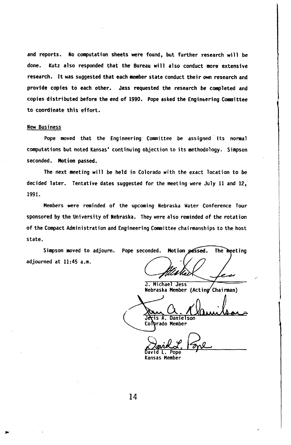and reports. No computation sheets were found, but further research will be done. Kutz also responded that the Bureau will also conduct more extensive research. It was suggested that each member state conduct their *own* research and provide copies to each other. Jess requested the research be completed and copies distributed before the end of 1990. Pope asked the Engineering Committee to coordinate this effort.

#### New Business

Pope moved that the Engineering Committee be assigned its normal computations but noted Kansas' continuing objection to its methodology. Simpson seconded. Motion passed.

The next meeting will be held in Colorado with the exact location to be decided later. Tentative dates suggested for the meeting were July 11 and 12, 1991.

Members were reminded of the upcoming Nebraska Water Conference Tour sponsored by the University of Nebraska. They were also reminded of the rotation of the Compact Administration and Engineering Committee chairmanships to the host state.

Simpson moved to adjourn. Pope seconded. Motion passed. The meeting adjourned at **11:45** a.m.

J. Michael Jess Nebraska Member (Acting Chairman)

Jeris A. Danielson

Colrado Member

 $\overline{\mathtt{David}\ \mathtt{L.}}$  Pope

Kansas Member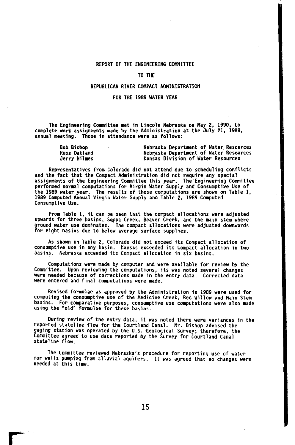#### **REPORT OF THE ENGINEERING Committee**

#### **TO THE**

### **REPUBLICAN RIVER Compact ADMINISTRATION**

### **FOR THE 1989 WATER YEAR**

**The Engineering Committee met in Lincoln Nebraska on May 2, 1990, to complete work assignments made by the Administration at the July 21, 1989, annual meeting. Those in attendance were as follows:** 

| <b>Bob Bishop</b>   | Nebraska Department of Water Resources |
|---------------------|----------------------------------------|
| <b>Russ Oakland</b> | Nebraska Department of Water Resources |
| Jerry Hilmes        | Kansas Division of Water Resources     |

**Representatives from Colorado did not attend due to scheduling conflicts and the fact that the Compact Administration did not require any special assignments of the Engineering Cornittee this year. performed normal computations for Virgin Water Supply and Consumptive Use of the 1989 water year. The results of those computations are shown on Table 1, 1989 Computed Annual Virgin Water Supply and Table 2, 1989 Computed Consumptive Use. The Engineering Committee** 

**From Table 1, it can be seen that the compact allocations were adjusted upwards for three basins. Sappa Creek, Beaver Creek, and the main stem where**  ground water use dominates. The compact allocations were adjusted downwards **for eight basins due to below average surface supplies.** 

**consumptive use in any basin. Kansas exceeded its Compact allocation in two basins. Nebraska exceeded its Compact allocation in six basins. As shown on Table 2, Colorado did not exceed its Compact allocation of** 

**Computations were made by computer and were available for review by the**  Lommittee. Upon reviewing the computations, its was noted several changes<br>were needed because of corrections made in the entry data. Corrected data<br>were entered and final computations were made.

**Revised formulae as approved by the Administration in 1989 were used for computing the consumptive use of the Medicine Creek, Red Willow and Main Stem basins. For comparative purposes, consumptive use computations were also made using the "old" formulae for these basins.** 

**During review of the entry data, it was noted there were variances in the reported stateline flow for the Courtland Canal. Mr. Bishop advised the gaging station was operated by the U.S. Geological Survey; therefore, the Committee agreed to use data reported by the Survey for Courtland Canal stateline flow.** 

**for wells pumping from alluvial aquifers. It was agreed that no changes were needed at this time. The Committee reviewed Nebraska's procedure for reporting use of water**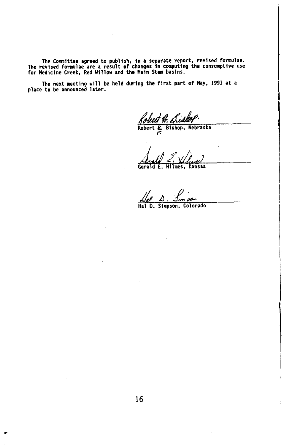The Committee agreed to publish, In a separate report, revised formulae. The revised formulae are a result of changes in computing the consumptive use<br>for Medicine Creek, Red Willow and the Main Stem basins.

The next meeting will be held during the first part of May, 1991 at a<br>place to be announced later.

Robert Bishop, Nebraska *F.* 

Gerald E. Hilmes, Kansas

**Hal D. Simpson**  Simpson, Colorado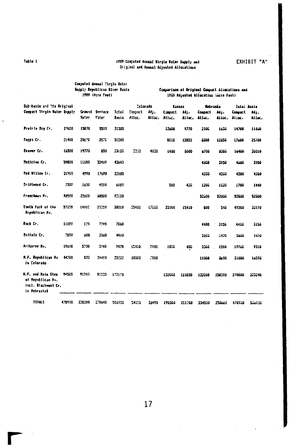# **Table 1 1989 Computed Annual Virgin Water Supply And Original and Annual Adjusted Allocations EXHIBIT "A"**

**Computed Annual Virgin Water Supply Republican River Basin Comparison of Original Compact Allocations and 1989 Adjusted Allocations (Acre-Feet) 1989 (Acre Feet) 1989 Adjusted Allocation (Acre Feet) Sub-basin** *and* **the Original** *Colorado* **Kansas** *Nebraska* **Total Basin Compact** *Virgin* **Water Supply Ground Surface Total Compact Adj. Compact Adj. Compact Adj. Compact Adj.**  *Water* **Water Basin Alloc. Alloc. Alloc. Alloc. Alloc. Alloc, Alia. Alloc. Prairie Dog Cr. 27600 15870 5510 21380 12600 9770** *2100* **1630 14700 11400 Sapp Sappa Cr. 21400 23670 2570 31240 5800 12650 8800** *12850 17600 25700*  **Beaver Cr. 16500 19770 650** *20620 2300* **4130** *6400 8000* **6700** *3380* **16400 20510 Medicine Cr. 50800 11180 32460 43640** *4600* **3950 4600** *3950*  **Red Willow Cr. 21900 4990 17690 22680 4200 4200 4200 4200 Driftwood Dr.** *Cr.* **7300 1630 4550 6180 500 420** *1200* **1020 1700 1440 Frenchman Rv.** *98500* **32600 60500 93100 52800 52800 52600 52800 South Fork of** *the 57200* **14960 23350 38310 23400 17020 23000 15410 800 540 49200 32970 Republican** *Rv.*  **Rack** *Cr.* **11000 120 7740 7560 4400 3150 4400 3150 Buffalo Cr. 7890 600 3360 4460** *2600* **2470 2600 1470 Arikaree Rv. 19610 5730 3740 9470 15400** *7440* **1000 480 3300 1590 19700 5510 N.F. Republican** *Rv.* **44700 830 34490** *15320* **10000 7900 11000 8690 21000 16590 in Colorado H.F. and Rain Stem 97500 91340 91330 172670 138000 164850 132000 158390 270000 323246 of Republican Rv. incl. Blackwood** *Cr. in* **Nebraska TOTALS 478900 226290** *270640* **506930 54190** *36490* **190300 211760 234500 238660 478900** *506930*